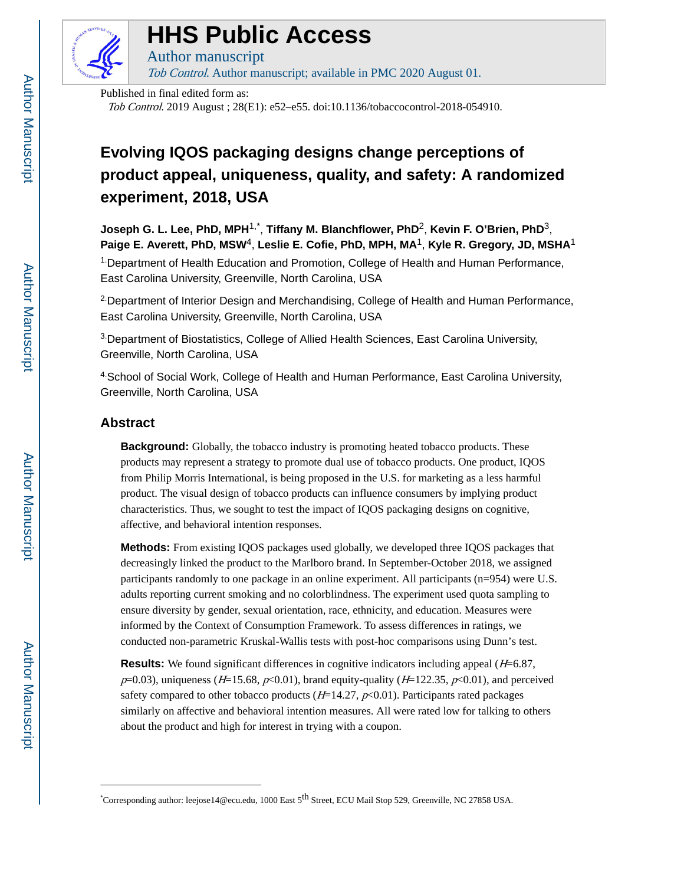

# **HHS Public Access**

Author manuscript Tob Control. Author manuscript; available in PMC 2020 August 01.

Published in final edited form as: Tob Control. 2019 August ; 28(E1): e52–e55. doi:10.1136/tobaccocontrol-2018-054910.

## **Evolving IQOS packaging designs change perceptions of product appeal, uniqueness, quality, and safety: A randomized experiment, 2018, USA**

**Joseph G. L. Lee, PhD, MPH**1,\* , **Tiffany M. Blanchflower, PhD**2, **Kevin F. O'Brien, PhD**3, **Paige E. Averett, PhD, MSW**4, **Leslie E. Cofie, PhD, MPH, MA**1, **Kyle R. Gregory, JD, MSHA**<sup>1</sup> 1.Department of Health Education and Promotion, College of Health and Human Performance, East Carolina University, Greenville, North Carolina, USA

2.Department of Interior Design and Merchandising, College of Health and Human Performance, East Carolina University, Greenville, North Carolina, USA

3.Department of Biostatistics, College of Allied Health Sciences, East Carolina University, Greenville, North Carolina, USA

4.School of Social Work, College of Health and Human Performance, East Carolina University, Greenville, North Carolina, USA

## **Abstract**

**Background:** Globally, the tobacco industry is promoting heated tobacco products. These products may represent a strategy to promote dual use of tobacco products. One product, IQOS from Philip Morris International, is being proposed in the U.S. for marketing as a less harmful product. The visual design of tobacco products can influence consumers by implying product characteristics. Thus, we sought to test the impact of IQOS packaging designs on cognitive, affective, and behavioral intention responses.

**Methods:** From existing IQOS packages used globally, we developed three IQOS packages that decreasingly linked the product to the Marlboro brand. In September-October 2018, we assigned participants randomly to one package in an online experiment. All participants (n=954) were U.S. adults reporting current smoking and no colorblindness. The experiment used quota sampling to ensure diversity by gender, sexual orientation, race, ethnicity, and education. Measures were informed by the Context of Consumption Framework. To assess differences in ratings, we conducted non-parametric Kruskal-Wallis tests with post-hoc comparisons using Dunn's test.

**Results:** We found significant differences in cognitive indicators including appeal (*H*=6.87,  $p=0.03$ ), uniqueness (H=15.68,  $p<0.01$ ), brand equity-quality (H=122.35,  $p<0.01$ ), and perceived safety compared to other tobacco products ( $H=14.27$ ,  $p<0.01$ ). Participants rated packages similarly on affective and behavioral intention measures. All were rated low for talking to others about the product and high for interest in trying with a coupon.

<sup>\*</sup>Corresponding author: leejose14@ecu.edu, 1000 East 5<sup>th</sup> Street, ECU Mail Stop 529, Greenville, NC 27858 USA.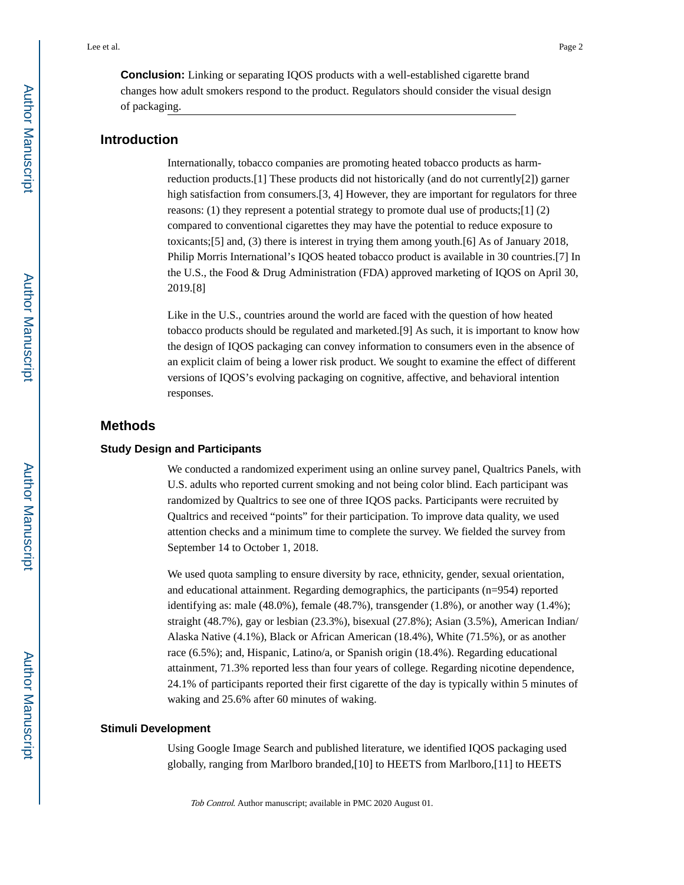**Conclusion:** Linking or separating IQOS products with a well-established cigarette brand changes how adult smokers respond to the product. Regulators should consider the visual design of packaging.

## **Introduction**

Internationally, tobacco companies are promoting heated tobacco products as harmreduction products.[1] These products did not historically (and do not currently[2]) garner high satisfaction from consumers.[3, 4] However, they are important for regulators for three reasons: (1) they represent a potential strategy to promote dual use of products; [1] (2) compared to conventional cigarettes they may have the potential to reduce exposure to toxicants;[5] and, (3) there is interest in trying them among youth.[6] As of January 2018, Philip Morris International's IQOS heated tobacco product is available in 30 countries.[7] In the U.S., the Food & Drug Administration (FDA) approved marketing of IQOS on April 30, 2019.[8]

Like in the U.S., countries around the world are faced with the question of how heated tobacco products should be regulated and marketed.[9] As such, it is important to know how the design of IQOS packaging can convey information to consumers even in the absence of an explicit claim of being a lower risk product. We sought to examine the effect of different versions of IQOS's evolving packaging on cognitive, affective, and behavioral intention responses.

## **Methods**

### **Study Design and Participants**

We conducted a randomized experiment using an online survey panel, Qualtrics Panels, with U.S. adults who reported current smoking and not being color blind. Each participant was randomized by Qualtrics to see one of three IQOS packs. Participants were recruited by Qualtrics and received "points" for their participation. To improve data quality, we used attention checks and a minimum time to complete the survey. We fielded the survey from September 14 to October 1, 2018.

We used quota sampling to ensure diversity by race, ethnicity, gender, sexual orientation, and educational attainment. Regarding demographics, the participants (n=954) reported identifying as: male  $(48.0\%)$ , female  $(48.7\%)$ , transgender  $(1.8\%)$ , or another way  $(1.4\%)$ ; straight (48.7%), gay or lesbian (23.3%), bisexual (27.8%); Asian (3.5%), American Indian/ Alaska Native (4.1%), Black or African American (18.4%), White (71.5%), or as another race (6.5%); and, Hispanic, Latino/a, or Spanish origin (18.4%). Regarding educational attainment, 71.3% reported less than four years of college. Regarding nicotine dependence, 24.1% of participants reported their first cigarette of the day is typically within 5 minutes of waking and 25.6% after 60 minutes of waking.

#### **Stimuli Development**

Using Google Image Search and published literature, we identified IQOS packaging used globally, ranging from Marlboro branded,[10] to HEETS from Marlboro,[11] to HEETS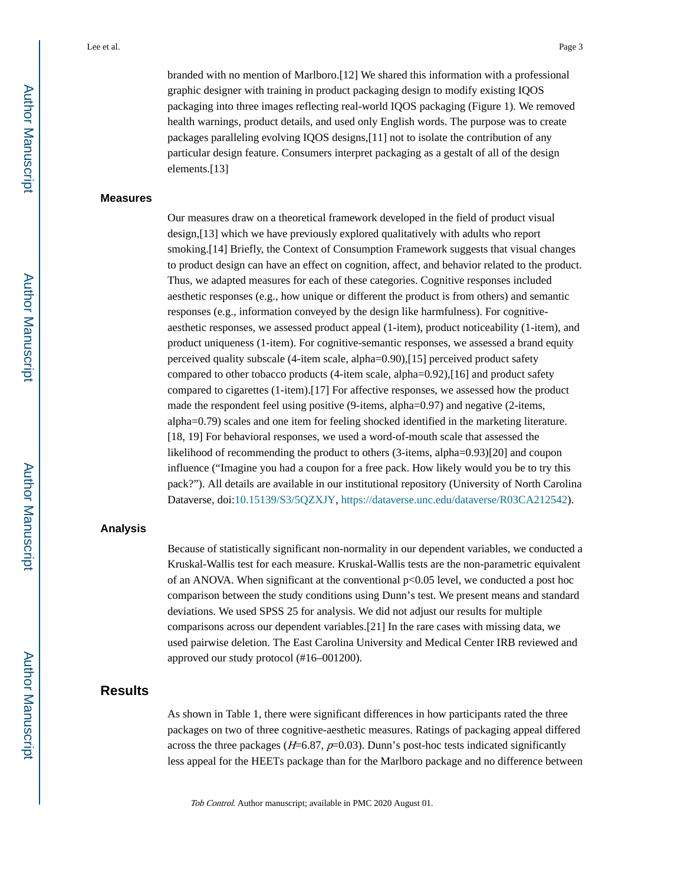branded with no mention of Marlboro.[12] We shared this information with a professional graphic designer with training in product packaging design to modify existing IQOS packaging into three images reflecting real-world IQOS packaging (Figure 1). We removed health warnings, product details, and used only English words. The purpose was to create packages paralleling evolving IQOS designs,[11] not to isolate the contribution of any particular design feature. Consumers interpret packaging as a gestalt of all of the design elements.[13]

#### **Measures**

Our measures draw on a theoretical framework developed in the field of product visual design,[13] which we have previously explored qualitatively with adults who report smoking.[14] Briefly, the Context of Consumption Framework suggests that visual changes to product design can have an effect on cognition, affect, and behavior related to the product. Thus, we adapted measures for each of these categories. Cognitive responses included aesthetic responses (e.g., how unique or different the product is from others) and semantic responses (e.g., information conveyed by the design like harmfulness). For cognitiveaesthetic responses, we assessed product appeal (1-item), product noticeability (1-item), and product uniqueness (1-item). For cognitive-semantic responses, we assessed a brand equity perceived quality subscale (4-item scale, alpha=0.90),[15] perceived product safety compared to other tobacco products (4-item scale, alpha=0.92),[16] and product safety compared to cigarettes (1-item).[17] For affective responses, we assessed how the product made the respondent feel using positive (9-items, alpha=0.97) and negative (2-items, alpha=0.79) scales and one item for feeling shocked identified in the marketing literature. [18, 19] For behavioral responses, we used a word-of-mouth scale that assessed the likelihood of recommending the product to others (3-items, alpha=0.93)[20] and coupon influence ("Imagine you had a coupon for a free pack. How likely would you be to try this pack?"). All details are available in our institutional repository (University of North Carolina Dataverse, doi:10.15139/S3/5QZXJY,<https://dataverse.unc.edu/dataverse/R03CA212542>).

## **Analysis**

Because of statistically significant non-normality in our dependent variables, we conducted a Kruskal-Wallis test for each measure. Kruskal-Wallis tests are the non-parametric equivalent of an ANOVA. When significant at the conventional p<0.05 level, we conducted a post hoc comparison between the study conditions using Dunn's test. We present means and standard deviations. We used SPSS 25 for analysis. We did not adjust our results for multiple comparisons across our dependent variables.[21] In the rare cases with missing data, we used pairwise deletion. The East Carolina University and Medical Center IRB reviewed and approved our study protocol (#16–001200).

## **Results**

As shown in Table 1, there were significant differences in how participants rated the three packages on two of three cognitive-aesthetic measures. Ratings of packaging appeal differed across the three packages ( $H=6.87$ ,  $p=0.03$ ). Dunn's post-hoc tests indicated significantly less appeal for the HEETs package than for the Marlboro package and no difference between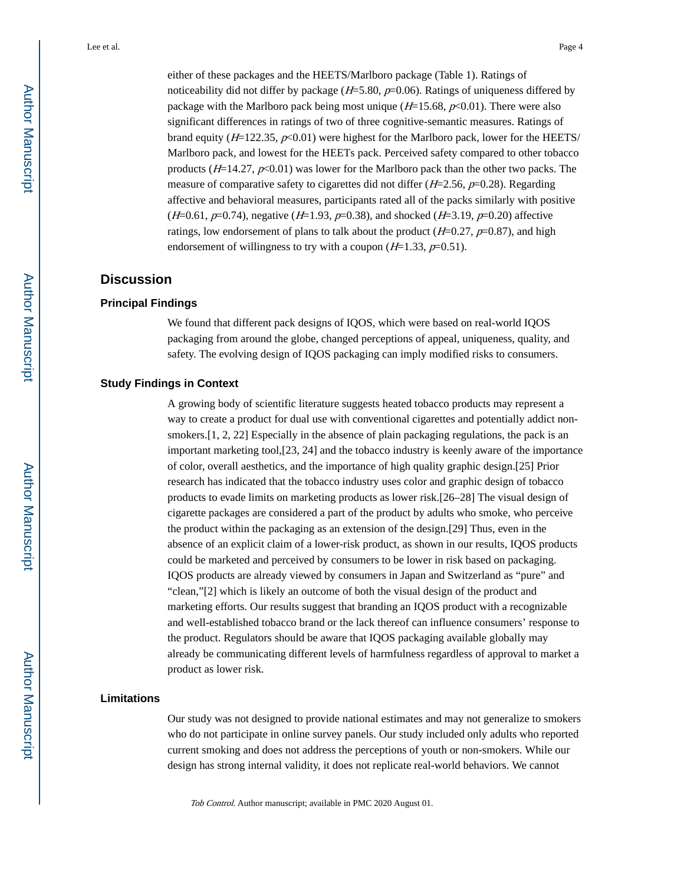noticeability did not differ by package  $(H=5.80, p=0.06)$ . Ratings of uniqueness differed by package with the Marlboro pack being most unique ( $H=15.68$ ,  $p<0.01$ ). There were also significant differences in ratings of two of three cognitive-semantic measures. Ratings of brand equity ( $H=122.35$ ,  $p<0.01$ ) were highest for the Marlboro pack, lower for the HEETS/ Marlboro pack, and lowest for the HEETs pack. Perceived safety compared to other tobacco products ( $H=14.27$ ,  $p<0.01$ ) was lower for the Marlboro pack than the other two packs. The measure of comparative safety to cigarettes did not differ  $(H=2.56, p=0.28)$ . Regarding affective and behavioral measures, participants rated all of the packs similarly with positive  $(H=0.61, p=0.74)$ , negative  $(H=1.93, p=0.38)$ , and shocked  $(H=3.19, p=0.20)$  affective ratings, low endorsement of plans to talk about the product  $(H=0.27, p=0.87)$ , and high endorsement of willingness to try with a coupon  $(H=1.33, p=0.51)$ .

## **Discussion**

## **Principal Findings**

We found that different pack designs of IQOS, which were based on real-world IQOS packaging from around the globe, changed perceptions of appeal, uniqueness, quality, and safety. The evolving design of IQOS packaging can imply modified risks to consumers.

## **Study Findings in Context**

A growing body of scientific literature suggests heated tobacco products may represent a way to create a product for dual use with conventional cigarettes and potentially addict nonsmokers.[1, 2, 22] Especially in the absence of plain packaging regulations, the pack is an important marketing tool,[23, 24] and the tobacco industry is keenly aware of the importance of color, overall aesthetics, and the importance of high quality graphic design.[25] Prior research has indicated that the tobacco industry uses color and graphic design of tobacco products to evade limits on marketing products as lower risk.[26–28] The visual design of cigarette packages are considered a part of the product by adults who smoke, who perceive the product within the packaging as an extension of the design.[29] Thus, even in the absence of an explicit claim of a lower-risk product, as shown in our results, IQOS products could be marketed and perceived by consumers to be lower in risk based on packaging. IQOS products are already viewed by consumers in Japan and Switzerland as "pure" and "clean,"[2] which is likely an outcome of both the visual design of the product and marketing efforts. Our results suggest that branding an IQOS product with a recognizable and well-established tobacco brand or the lack thereof can influence consumers' response to the product. Regulators should be aware that IQOS packaging available globally may already be communicating different levels of harmfulness regardless of approval to market a product as lower risk.

## **Limitations**

Our study was not designed to provide national estimates and may not generalize to smokers who do not participate in online survey panels. Our study included only adults who reported current smoking and does not address the perceptions of youth or non-smokers. While our design has strong internal validity, it does not replicate real-world behaviors. We cannot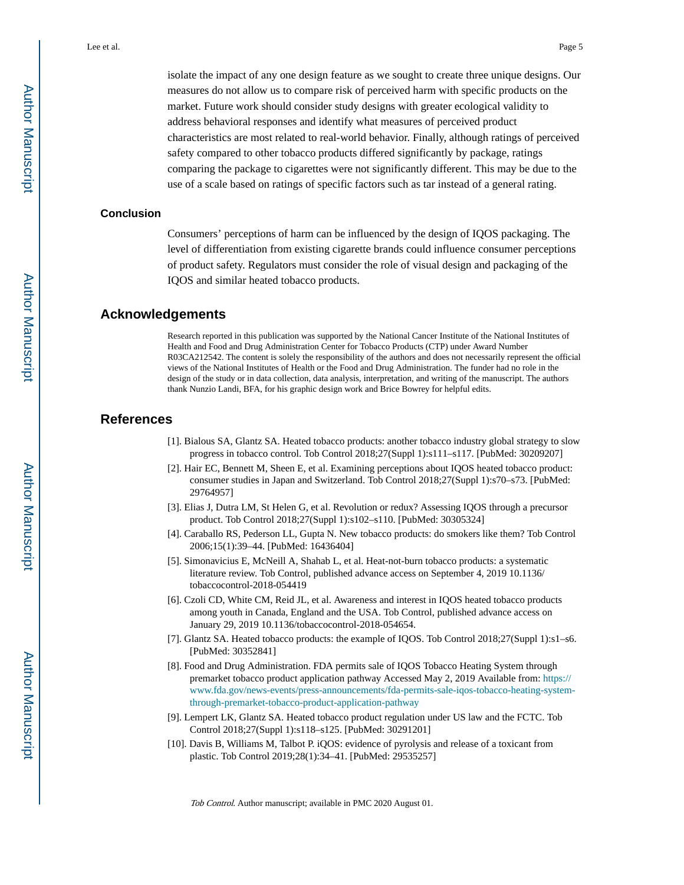isolate the impact of any one design feature as we sought to create three unique designs. Our measures do not allow us to compare risk of perceived harm with specific products on the market. Future work should consider study designs with greater ecological validity to address behavioral responses and identify what measures of perceived product characteristics are most related to real-world behavior. Finally, although ratings of perceived safety compared to other tobacco products differed significantly by package, ratings comparing the package to cigarettes were not significantly different. This may be due to the use of a scale based on ratings of specific factors such as tar instead of a general rating.

## **Conclusion**

Consumers' perceptions of harm can be influenced by the design of IQOS packaging. The level of differentiation from existing cigarette brands could influence consumer perceptions of product safety. Regulators must consider the role of visual design and packaging of the IQOS and similar heated tobacco products.

## **Acknowledgements**

Research reported in this publication was supported by the National Cancer Institute of the National Institutes of Health and Food and Drug Administration Center for Tobacco Products (CTP) under Award Number R03CA212542. The content is solely the responsibility of the authors and does not necessarily represent the official views of the National Institutes of Health or the Food and Drug Administration. The funder had no role in the design of the study or in data collection, data analysis, interpretation, and writing of the manuscript. The authors thank Nunzio Landi, BFA, for his graphic design work and Brice Bowrey for helpful edits.

## **References**

- [1]. Bialous SA, Glantz SA. Heated tobacco products: another tobacco industry global strategy to slow progress in tobacco control. Tob Control 2018;27(Suppl 1):s111–s117. [PubMed: 30209207]
- [2]. Hair EC, Bennett M, Sheen E, et al. Examining perceptions about IQOS heated tobacco product: consumer studies in Japan and Switzerland. Tob Control 2018;27(Suppl 1):s70–s73. [PubMed: 29764957]
- [3]. Elias J, Dutra LM, St Helen G, et al. Revolution or redux? Assessing IQOS through a precursor product. Tob Control 2018;27(Suppl 1):s102–s110. [PubMed: 30305324]
- [4]. Caraballo RS, Pederson LL, Gupta N. New tobacco products: do smokers like them? Tob Control 2006;15(1):39–44. [PubMed: 16436404]
- [5]. Simonavicius E, McNeill A, Shahab L, et al. Heat-not-burn tobacco products: a systematic literature review. Tob Control, published advance access on September 4, 2019 10.1136/ tobaccocontrol-2018-054419
- [6]. Czoli CD, White CM, Reid JL, et al. Awareness and interest in IQOS heated tobacco products among youth in Canada, England and the USA. Tob Control, published advance access on January 29, 2019 10.1136/tobaccocontrol-2018-054654.
- [7]. Glantz SA. Heated tobacco products: the example of IQOS. Tob Control 2018;27(Suppl 1):s1–s6. [PubMed: 30352841]
- [8]. Food and Drug Administration. FDA permits sale of IQOS Tobacco Heating System through premarket tobacco product application pathway Accessed May 2, 2019 Available from: [https://](https://www.fda.gov/news-events/press-announcements/fda-permits-sale-iqos-tobacco-heating-system-through-premarket-tobacco-product-application-pathway) [www.fda.gov/news-events/press-announcements/fda-permits-sale-iqos-tobacco-heating-system](https://www.fda.gov/news-events/press-announcements/fda-permits-sale-iqos-tobacco-heating-system-through-premarket-tobacco-product-application-pathway)[through-premarket-tobacco-product-application-pathway](https://www.fda.gov/news-events/press-announcements/fda-permits-sale-iqos-tobacco-heating-system-through-premarket-tobacco-product-application-pathway)
- [9]. Lempert LK, Glantz SA. Heated tobacco product regulation under US law and the FCTC. Tob Control 2018;27(Suppl 1):s118–s125. [PubMed: 30291201]
- [10]. Davis B, Williams M, Talbot P. iQOS: evidence of pyrolysis and release of a toxicant from plastic. Tob Control 2019;28(1):34–41. [PubMed: 29535257]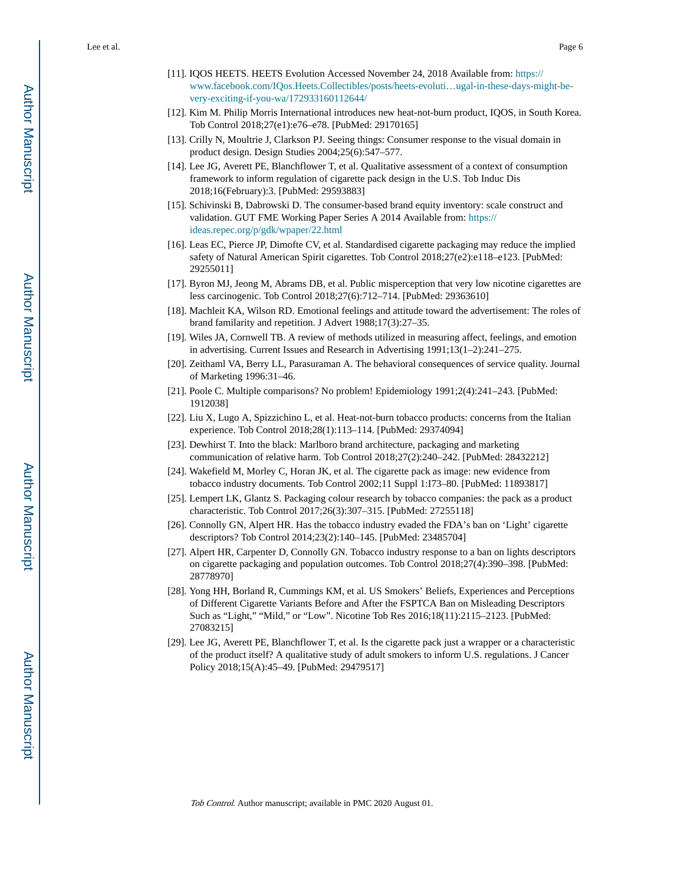- [11]. IQOS HEETS. HEETS Evolution Accessed November 24, 2018 Available from: [https://](https://www.facebook.com/IQos.Heets.Collectibles/posts/heets-evoluti…ugal-in-these-days-might-be-very-exciting-if-you-wa/172933160112644/) [www.facebook.com/IQos.Heets.Collectibles/posts/heets-evoluti…ugal-in-these-days-might-be](https://www.facebook.com/IQos.Heets.Collectibles/posts/heets-evoluti…ugal-in-these-days-might-be-very-exciting-if-you-wa/172933160112644/)[very-exciting-if-you-wa/172933160112644/](https://www.facebook.com/IQos.Heets.Collectibles/posts/heets-evoluti…ugal-in-these-days-might-be-very-exciting-if-you-wa/172933160112644/)
- [12]. Kim M. Philip Morris International introduces new heat-not-burn product, IQOS, in South Korea. Tob Control 2018;27(e1):e76–e78. [PubMed: 29170165]
- [13]. Crilly N, Moultrie J, Clarkson PJ. Seeing things: Consumer response to the visual domain in product design. Design Studies 2004;25(6):547–577.
- [14]. Lee JG, Averett PE, Blanchflower T, et al. Qualitative assessment of a context of consumption framework to inform regulation of cigarette pack design in the U.S. Tob Induc Dis 2018;16(February):3. [PubMed: 29593883]
- [15]. Schivinski B, Dabrowski D. The consumer-based brand equity inventory: scale construct and validation. GUT FME Working Paper Series A 2014 Available from: [https://](https://ideas.repec.org/p/gdk/wpaper/22.html) [ideas.repec.org/p/gdk/wpaper/22.html](https://ideas.repec.org/p/gdk/wpaper/22.html)
- [16]. Leas EC, Pierce JP, Dimofte CV, et al. Standardised cigarette packaging may reduce the implied safety of Natural American Spirit cigarettes. Tob Control 2018;27(e2):e118–e123. [PubMed: 29255011]
- [17]. Byron MJ, Jeong M, Abrams DB, et al. Public misperception that very low nicotine cigarettes are less carcinogenic. Tob Control 2018;27(6):712–714. [PubMed: 29363610]
- [18]. Machleit KA, Wilson RD. Emotional feelings and attitude toward the advertisement: The roles of brand familarity and repetition. J Advert 1988;17(3):27–35.
- [19]. Wiles JA, Cornwell TB. A review of methods utilized in measuring affect, feelings, and emotion in advertising. Current Issues and Research in Advertising 1991;13(1–2):241–275.
- [20]. Zeithaml VA, Berry LL, Parasuraman A. The behavioral consequences of service quality. Journal of Marketing 1996:31–46.
- [21]. Poole C. Multiple comparisons? No problem! Epidemiology 1991;2(4):241–243. [PubMed: 1912038]
- [22]. Liu X, Lugo A, Spizzichino L, et al. Heat-not-burn tobacco products: concerns from the Italian experience. Tob Control 2018;28(1):113–114. [PubMed: 29374094]
- [23]. Dewhirst T. Into the black: Marlboro brand architecture, packaging and marketing communication of relative harm. Tob Control 2018;27(2):240–242. [PubMed: 28432212]
- [24]. Wakefield M, Morley C, Horan JK, et al. The cigarette pack as image: new evidence from tobacco industry documents. Tob Control 2002;11 Suppl 1:I73–80. [PubMed: 11893817]
- [25]. Lempert LK, Glantz S. Packaging colour research by tobacco companies: the pack as a product characteristic. Tob Control 2017;26(3):307–315. [PubMed: 27255118]
- [26]. Connolly GN, Alpert HR. Has the tobacco industry evaded the FDA's ban on 'Light' cigarette descriptors? Tob Control 2014;23(2):140–145. [PubMed: 23485704]
- [27]. Alpert HR, Carpenter D, Connolly GN. Tobacco industry response to a ban on lights descriptors on cigarette packaging and population outcomes. Tob Control 2018;27(4):390–398. [PubMed: 28778970]
- [28]. Yong HH, Borland R, Cummings KM, et al. US Smokers' Beliefs, Experiences and Perceptions of Different Cigarette Variants Before and After the FSPTCA Ban on Misleading Descriptors Such as "Light," "Mild," or "Low". Nicotine Tob Res 2016;18(11):2115–2123. [PubMed: 27083215]
- [29]. Lee JG, Averett PE, Blanchflower T, et al. Is the cigarette pack just a wrapper or a characteristic of the product itself? A qualitative study of adult smokers to inform U.S. regulations. J Cancer Policy 2018;15(A):45–49. [PubMed: 29479517]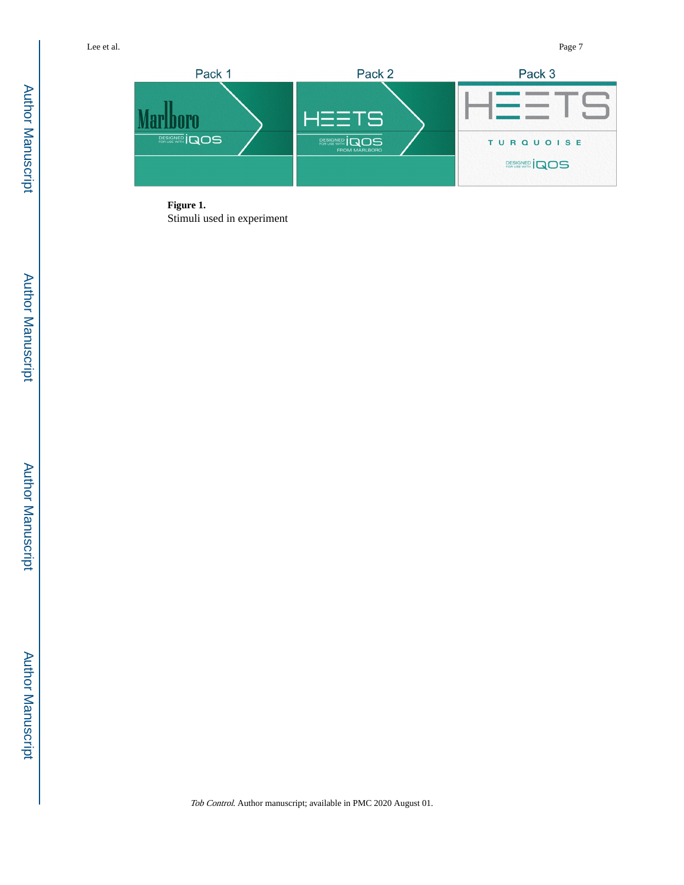

**Figure 1.**  Stimuli used in experiment